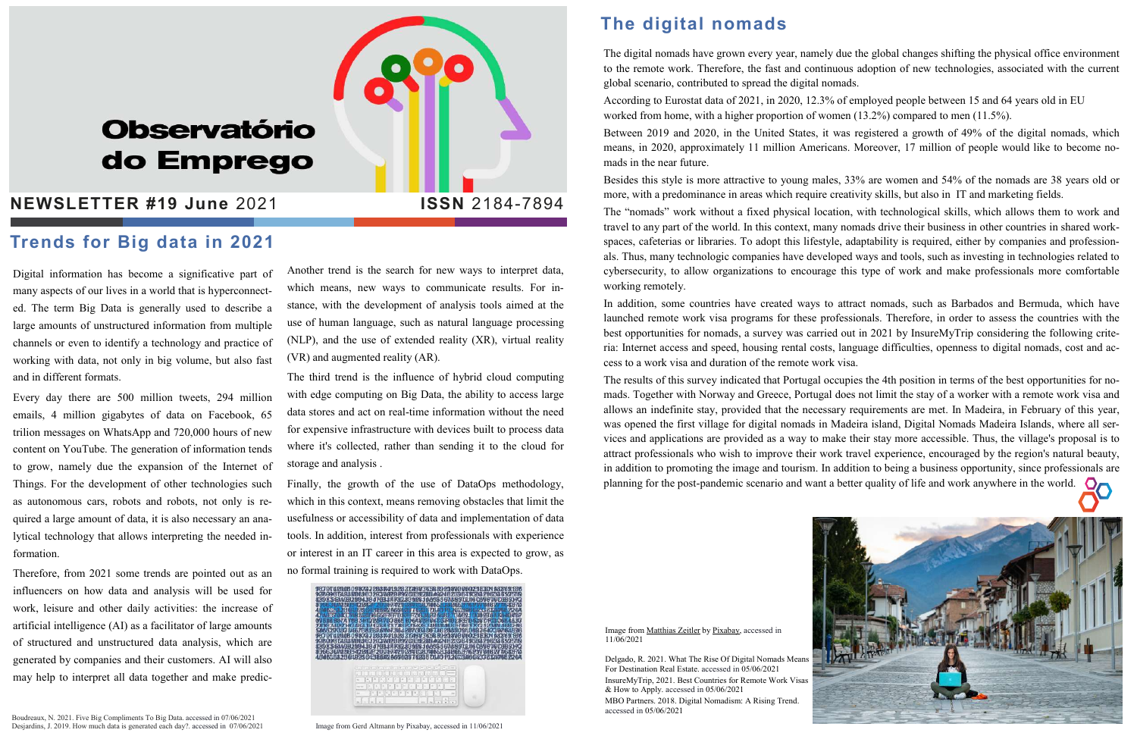# **Observatório** do Emprego

#### **NEWSLETTER #19 June 2021 | ISSN 2184-7894**

Digital information has become a significative part of many aspects of our lives in a world that is hyperconnected. The term Big Data is generally used to describe a large amounts of unstructured information from multiple channels or even to identify a technology and practice of working with data, not only in big volume, but also fast and in different formats.

Every day there are 500 million tweets, 294 million emails, 4 million gigabytes of data on Facebook, 65 trilion messages on WhatsApp and 720,000 hours of new content on YouTube. The generation of information tends to grow, namely due the expansion of the Internet of Things. For the development of other technologies such as autonomous cars, robots and robots, not only is required a large amount of data, it is also necessary an analytical technology that allows interpreting the needed information.

Therefore, from 2021 some trends are pointed out as an influencers on how data and analysis will be used for work, leisure and other daily activities: the increase of artificial intelligence (AI) as a facilitator of large amounts of structured and unstructured data analysis, which are generated by companies and their customers. AI will also may help to interpret all data together and make predic-

Another trend is the search for new ways to interpret data, which means, new ways to communicate results. For instance, with the development of analysis tools aimed at the use of human language, such as natural language processing (NLP), and the use of extended reality (XR), virtual reality (VR) and augmented reality (AR).

The third trend is the influence of hybrid cloud computing with edge computing on Big Data, the ability to access large data stores and act on real-time information without the need for expensive infrastructure with devices built to process data where it's collected, rather than sending it to the cloud for storage and analysis .

Finally, the growth of the use of DataOps methodology, which in this context, means removing obstacles that limit the usefulness or accessibility of data and implementation of data tools. In addition, interest from professionals with experience or interest in an IT career in this area is expected to grow, as no formal training is required to work with DataOps.

The results of this survey indicated that Portugal occupies the 4th position in terms of the best opportunities for nomads. Together with Norway and Greece, Portugal does not limit the stay of a worker with a remote work visa and allows an indefinite stay, provided that the necessary requirements are met. In Madeira, in February of this year, was opened the first village for digital nomads in Madeira island, Digital Nomads Madeira Islands, where all services and applications are provided as a way to make their stay more accessible. Thus, the village's proposal is to attract professionals who wish to improve their work travel experience, encouraged by the region's natural beauty, in addition to promoting the image and tourism. In addition to being a business opportunity, since professionals are planning for the post-pandemic scenario and want a better quality of life and work anywhere in the world.

#### The digital nomads

The digital nomads have grown every year, namely due the global changes shifting the physical office environment to the remote work. Therefore, the fast and continuous adoption of new technologies, associated with the current global scenario, contributed to spread the digital nomads. According to Eurostat data of 2021, in 2020, 12.3% of employed people between 15 and 64 years old in EU worked from home, with a higher proportion of women (13.2%) compared to men (11.5%). Between 2019 and 2020, in the United States, it was registered a growth of 49% of the digital nomads, which means, in 2020, approximately 11 million Americans. Moreover, 17 million of people would like to become nomads in the near future.

Besides this style is more attractive to young males, 33% are women and 54% of the nomads are 38 years old or more, with a predominance in areas which require creativity skills, but also in IT and marketing fields.

The "nomads" work without a fixed physical location, with technological skills, which allows them to work and travel to any part of the world. In this context, many nomads drive their business in other countries in shared workspaces, cafeterias or libraries. To adopt this lifestyle, adaptability is required, either by companies and professionals. Thus, many technologic companies have developed ways and tools, such as investing in technologies related to cybersecurity, to allow organizations to encourage this type of work and make professionals more comfortable working remotely.

In addition, some countries have created ways to attract nomads, such as Barbados and Bermuda, which have launched remote work visa programs for these professionals. Therefore, in order to assess the countries with the best opportunities for nomads, a survey was carried out in 2021 by InsureMyTrip considering the following criteria: Internet access and speed, housing rental costs, language difficulties, openness to digital nomads, cost and access to a work visa and duration of the remote work visa.

#### Trends for Big data in 2021

Image from Matthias Zeitler by Pixabay, accessed in 11/06/2021

Delgado, R. 2021. What The Rise Of Digital Nomads Means For Destination Real Estate. accessed in 05/06/2021 InsureMyTrip, 2021. Best Countries for Remote Work Visas & How to Apply. accessed in 05/06/2021

MBO Partners. 2018. Digital Nomadism: A Rising Trend. accessed in 05/06/2021





Image from Gerd Altmann by Pixabay, accessed in 11/06/2021

Boudreaux, N. 2021. Five Big Compliments To Big Data. accessed in 07/06/2021 Desjardins, J. 2019. How much data is generated each day?. accessed in 07/06/2021